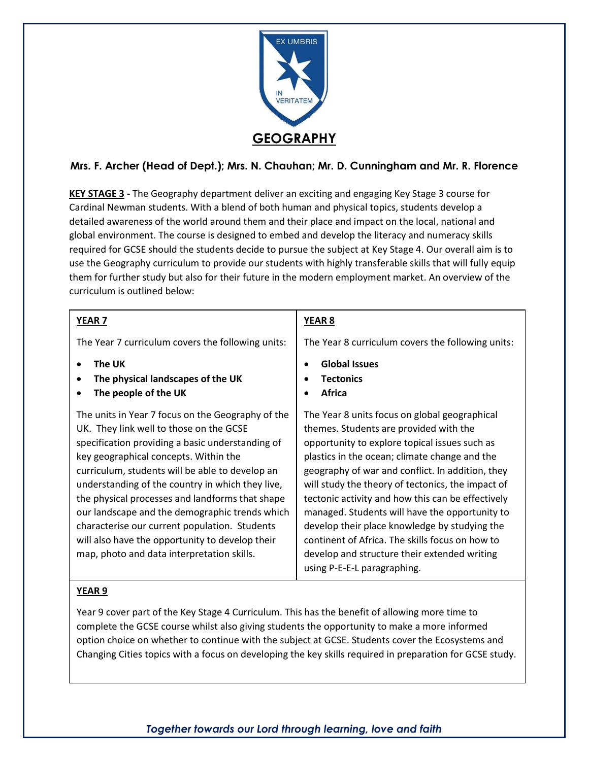

# **Mrs. F. Archer (Head of Dept.); Mrs. N. Chauhan; Mr. D. Cunningham and Mr. R. Florence**

**KEY STAGE 3 -** The Geography department deliver an exciting and engaging Key Stage 3 course for Cardinal Newman students. With a blend of both human and physical topics, students develop a detailed awareness of the world around them and their place and impact on the local, national and global environment. The course is designed to embed and develop the literacy and numeracy skills required for GCSE should the students decide to pursue the subject at Key Stage 4. Our overall aim is to use the Geography curriculum to provide our students with highly transferable skills that will fully equip them for further study but also for their future in the modern employment market. An overview of the curriculum is outlined below:

| YEAR <sub>7</sub>                                                                                                                                                                                                                                                                                                                                                                                                                                                                                                                                       | YEAR <sub>8</sub>                                                                                                                                                                                                                                                                                                                                                                                                                                                                                                                                                                            |
|---------------------------------------------------------------------------------------------------------------------------------------------------------------------------------------------------------------------------------------------------------------------------------------------------------------------------------------------------------------------------------------------------------------------------------------------------------------------------------------------------------------------------------------------------------|----------------------------------------------------------------------------------------------------------------------------------------------------------------------------------------------------------------------------------------------------------------------------------------------------------------------------------------------------------------------------------------------------------------------------------------------------------------------------------------------------------------------------------------------------------------------------------------------|
| The Year 7 curriculum covers the following units:                                                                                                                                                                                                                                                                                                                                                                                                                                                                                                       | The Year 8 curriculum covers the following units:                                                                                                                                                                                                                                                                                                                                                                                                                                                                                                                                            |
| The UK<br>The physical landscapes of the UK<br>The people of the UK                                                                                                                                                                                                                                                                                                                                                                                                                                                                                     | <b>Global Issues</b><br><b>Tectonics</b><br>Africa                                                                                                                                                                                                                                                                                                                                                                                                                                                                                                                                           |
| The units in Year 7 focus on the Geography of the<br>UK. They link well to those on the GCSE<br>specification providing a basic understanding of<br>key geographical concepts. Within the<br>curriculum, students will be able to develop an<br>understanding of the country in which they live,<br>the physical processes and landforms that shape<br>our landscape and the demographic trends which<br>characterise our current population. Students<br>will also have the opportunity to develop their<br>map, photo and data interpretation skills. | The Year 8 units focus on global geographical<br>themes. Students are provided with the<br>opportunity to explore topical issues such as<br>plastics in the ocean; climate change and the<br>geography of war and conflict. In addition, they<br>will study the theory of tectonics, the impact of<br>tectonic activity and how this can be effectively<br>managed. Students will have the opportunity to<br>develop their place knowledge by studying the<br>continent of Africa. The skills focus on how to<br>develop and structure their extended writing<br>using P-E-E-L paragraphing. |

### **YEAR 9**

Year 9 cover part of the Key Stage 4 Curriculum. This has the benefit of allowing more time to complete the GCSE course whilst also giving students the opportunity to make a more informed option choice on whether to continue with the subject at GCSE. Students cover the Ecosystems and Changing Cities topics with a focus on developing the key skills required in preparation for GCSE study.